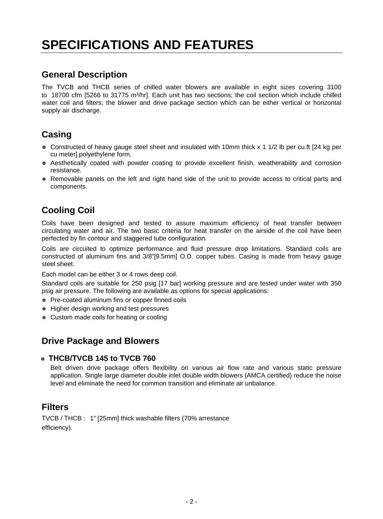# **SPECIFICATIONS AND FEATURES**

## **General Description**

The TVCB and THCB series of chilled water blowers are available in eight sizes covering 3100 to 18700 cfm [5266 to 31775 m<sup>3</sup>/hr]. Each unit has two sections; the coil section which include chilled water coil and filters; the blower and drive package section which can be either vertical or horizontal supply air discharge.

## **Casing**

- $\bullet$  Constructed of heavy gauge steel sheet and insulated with 10mm thick x 1 1/2 lb per cu.ft [24 kg per cu meter] polyethylene form.
- $\bullet$  Aesthetically coated with powder coating to provide excellent finish, weatherability and corrosion resistance.
- $\bullet$  Removable panels on the left and right hand side of the unit to provide access to critical parts and components.

## **Cooling Coil**

Coils have been designed and tested to assure maximum efficiency of heat transfer between circulating water and air. The two basic criteria for heat transfer on the airside of the coil have been perfected by fin contour and staggered tube configuration.

Coils are circuited to optimize performance and fluid pressure drop limitations. Standard coils are constructed of aluminum fins and 3/8"[9.5mm] O.D. copper tubes. Casing is made from heavy gauge steel sheet.

Each model can be either 3 or 4 rows deep coil.

Standard coils are suitable for 250 psig [17 bar] working pressure and are tested under water with 350 psig air pressure. The following are available as options for special applications:

- ⊕ Pre-coated aluminum fins or copper finned coils
- <sup>●</sup> Higher design working and test pressures
- $\bullet$  Custom made coils for heating or cooling

### **Drive Package and Blowers**

#### <sup>D</sup> **THCB/TVCB 145 to TVCB 760**

Belt driven drive package offers flexibility on various air flow rate and various static pressure application. Single large diameter double inlet double width blowers (AMCA certified) reduce the noise level and eliminate the need for common transition and eliminate air unbalance.

### **Filters**

TVCB / THCB : 1" [25mm] thick washable filters (70% arrestance efficiency).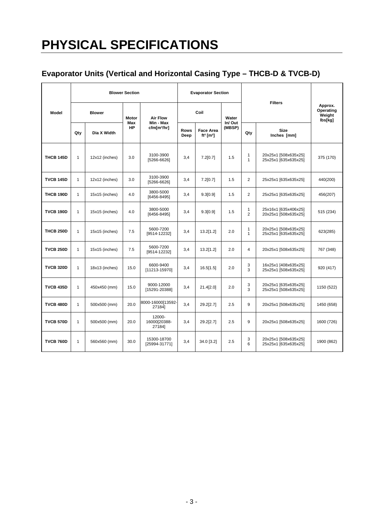# **PHYSICAL SPECIFICATIONS**

## **Evaporator Units (Vertical and Horizontal Casing Type – THCB-D & TVCB-D)**

|                  | <b>Blower Section</b> |                |                  |                                      |                     | <b>Evaporator Section</b>                             |                  |                           |                                              |                                           |
|------------------|-----------------------|----------------|------------------|--------------------------------------|---------------------|-------------------------------------------------------|------------------|---------------------------|----------------------------------------------|-------------------------------------------|
| Model            |                       | <b>Blower</b>  | <b>Motor</b>     | <b>Air Flow</b>                      |                     | Coil                                                  | Water            |                           | <b>Filters</b>                               | Approx.<br>Operating<br>Weight<br>lbs[kg] |
|                  | Qty                   | Dia X Width    | Max<br><b>HP</b> | Min - Max<br>cfm[m <sup>3</sup> /hr] | <b>Rows</b><br>Deep | <b>Face Area</b><br>ft <sup>2</sup> [m <sup>2</sup> ] | In/Out<br>(MBSP) | Qty                       | <b>Size</b><br>Inches [mm]                   |                                           |
| <b>THCB 145D</b> | $\mathbf{1}$          | 12x12 (inches) | 3.0              | 3100-3900<br>[5266-6626]             |                     | 7.2[0.7]                                              | 1.5              | $\mathbf{1}$<br>1         | 20x25x1 [508x635x25]<br>25x25x1 [635x635x25] | 375 (170)                                 |
| <b>TVCB 145D</b> | $\mathbf{1}$          | 12x12 (inches) | 3.0              | 3100-3900<br>[5266-6626]             |                     | 7.2[0.7]                                              | 1.5              | $\overline{2}$            | 25x25x1 [635x635x25]                         | 440(200)                                  |
| <b>THCB 190D</b> | $\mathbf{1}$          | 15x15 (inches) | 4.0              | 3800-5000<br>[6456-8495]             | 3,4                 | 9.3[0.9]                                              | 1.5              | $\overline{2}$            | 25x25x1 [635x635x25]                         | 456(207)                                  |
| <b>TVCB 190D</b> | $\mathbf{1}$          | 15x15 (inches) | 4.0              | 3800-5000<br>[6456-8495]             | 3,4                 | 9.3[0.9]                                              | 1.5              | 1<br>$\overline{2}$       | 25x16x1 [635x406x25]<br>20x25x1 [508x635x25] | 515 (234)                                 |
| <b>THCB 250D</b> | $\mathbf{1}$          | 15x15 (inches) | 7.5              | 5600-7200<br>[9514-12232]            | 3,4                 | 13.2[1.2]                                             | 2.0              | 1<br>1                    | 20x25x1 [508x635x25]<br>25x25x1 [635x635x25] | 623(285)                                  |
| <b>TVCB 250D</b> | $\mathbf{1}$          | 15x15 (inches) | 7.5              | 5600-7200<br>[9514-12232]            | 3.4                 | 13.2[1.2]                                             | 2.0              | 4                         | 20x25x1 [508x635x25]                         | 767 (348)                                 |
| <b>TVCB 320D</b> | $\mathbf{1}$          | 18x13 (inches) | 15.0             | 6600-9400<br>[11213-15970]           |                     | 16.5[1.5]                                             | 2.0              | 3<br>3                    | 16x25x1 [408x635x25]<br>25x25x1 [508x635x25] | 920 (417)                                 |
| <b>TVCB 435D</b> | $\mathbf{1}$          | 450x450 (mm)   | 15.0             | 9000-12000<br>[15291-20388]          | 3,4                 | 21.4[2.0]                                             | 2.0              | 3<br>3                    | 20x25x1 [635x635x25]<br>25x25x1 [508x635x25] | 1150 (522)                                |
| <b>TVCB 480D</b> | $\mathbf{1}$          | 500x500 (mm)   | 20.0             | 8000-16000[13592-<br>27184]          | 3.4                 | 29.2[2.7]                                             | 2.5              | 9<br>20x25x1 [508x635x25] |                                              | 1450 (658)                                |
| <b>TVCB 570D</b> | $\mathbf{1}$          | 500x500 (mm)   | 20.0             | 12000-<br>16000[20388-<br>27184]     | 3,4                 | 29.2[2.7]                                             | 2.5              | 9                         | 20x25x1 [508x635x25]                         | 1600 (726)                                |
| <b>TVCB 760D</b> | $\mathbf{1}$          | 560x560 (mm)   | 30.0             | 15300-18700<br>[25994-31771]         | 3,4                 | 34.0 [3.2]                                            | 2.5              | 3<br>6                    | 20x25x1 [508x635x25]<br>25x25x1 [635x635x25] | 1900 (862)                                |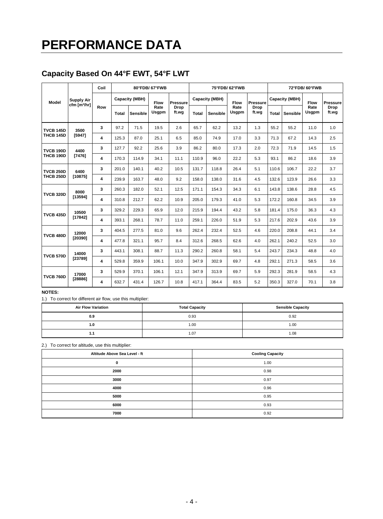# **PERFORMANCE DATA**

## **Capacity Based On 44°F EWT, 54°F LWT**

| Model                                | <b>Supply Air</b><br>cfm [m <sup>3</sup> /hr] | Coil<br>80°FDB/67°FWB |                |          |                      |                 |                |                 | 75°FDB/62°FWB |               | 72°FDB/60°FWB  |                 |               |                 |
|--------------------------------------|-----------------------------------------------|-----------------------|----------------|----------|----------------------|-----------------|----------------|-----------------|---------------|---------------|----------------|-----------------|---------------|-----------------|
|                                      |                                               |                       | Capacity (MBH) |          | Flow                 | <b>Pressure</b> | Capacity (MBH) |                 | Flow          | Pressure      | Capacity (MBH) |                 | <b>Flow</b>   | <b>Pressure</b> |
|                                      |                                               | Row                   | <b>Total</b>   | Sensible | Rate<br><b>Usgpm</b> | Drop<br>ft.wg   | <b>Total</b>   | <b>Sensible</b> | Rate<br>Usgpm | Drop<br>ft.wg | <b>Total</b>   | <b>Sensible</b> | Rate<br>Usgpm | Drop<br>ft.wg   |
| <b>TVCB 145D</b><br><b>THCB 145D</b> | 3500                                          | 3                     | 97.2           | 71.5     | 19.5                 | 2.6             | 65.7           | 62.2            | 13.2          | 1.3           | 55.2           | 55.2            | 11.0          | 1.0             |
|                                      | [5947]                                        | 4                     | 125.3          | 87.0     | 25.1                 | 6.5             | 85.0           | 74.9            | 17.0          | 3.3           | 71.3           | 67.2            | 14.3          | 2.5             |
| <b>TVCB 190D</b><br><b>THCB 190D</b> | 4400                                          | 3                     | 127.7          | 92.2     | 25.6                 | 3.9             | 86.2           | 80.0            | 17.3          | 2.0           | 72.3           | 71.9            | 14.5          | 1.5             |
|                                      | [7476]                                        | 4                     | 170.3          | 114.9    | 34.1                 | 11.1            | 110.9          | 96.0            | 22.2          | 5.3           | 93.1           | 86.2            | 18.6          | 3.9             |
| <b>TVCB 250D</b><br><b>THCB 250D</b> | 6400<br>[10875]                               | 3                     | 201.0          | 140.1    | 40.2                 | 10.5            | 131.7          | 118.8           | 26.4          | 5.1           | 110.6          | 106.7           | 22.2          | 3.7             |
|                                      |                                               | 4                     | 239.9          | 163.7    | 48.0                 | 9.2             | 158.0          | 138.0           | 31.6          | 4.5           | 132.6          | 123.9           | 26.6          | 3.3             |
| <b>TVCB 320D</b>                     | 8000                                          | 3                     | 260.3          | 182.0    | 52.1                 | 12.5            | 171.1          | 154.3           | 34.3          | 6.1           | 143.8          | 138.6           | 28.8          | 4.5             |
|                                      | [13594]                                       | 4                     | 310.8          | 212.7    | 62.2                 | 10.9            | 205.0          | 179.3           | 41.0          | 5.3           | 172.2          | 160.8           | 34.5          | 3.9             |
| <b>TVCB 435D</b>                     | 10500<br>[17842]                              | 3                     | 329.2          | 229.3    | 65.9                 | 12.0            | 215.9          | 194.4           | 43.2          | 5.8           | 181.4          | 175.0           | 36.3          | 4.3             |
|                                      |                                               | 4                     | 393.1          | 268.1    | 78.7                 | 11.0            | 259.1          | 226.0           | 51.9          | 5.3           | 217.6          | 202.9           | 43.6          | 3.9             |
|                                      | 12000<br>[20390]                              | 3                     | 404.5          | 277.5    | 81.0                 | 9.6             | 262.4          | 232.4           | 52.5          | 4.6           | 220.0          | 208.8           | 44.1          | 3.4             |
| <b>TVCB 480D</b>                     |                                               | 4                     | 477.8          | 321.1    | 95.7                 | 8.4             | 312.6          | 268.5           | 62.6          | 4.0           | 262.1          | 240.2           | 52.5          | 3.0             |
| <b>TVCB 570D</b>                     | 14000<br>[23789]                              | 3                     | 443.1          | 308.1    | 88.7                 | 11.3            | 290.2          | 260.8           | 58.1          | 5.4           | 243.7          | 234.3           | 48.8          | 4.0             |
|                                      |                                               | 4                     | 529.8          | 359.9    | 106.1                | 10.0            | 347.9          | 302.9           | 69.7          | 4.8           | 292.1          | 271.3           | 58.5          | 3.6             |
| <b>TVCB 760D</b>                     | 17000<br>[28886]                              | 3                     | 529.9          | 370.1    | 106.1                | 12.1            | 347.9          | 313.9           | 69.7          | 5.9           | 292.3          | 281.9           | 58.5          | 4.3             |
|                                      |                                               | 4                     | 632.7          | 431.4    | 126.7                | 10.8            | 417.1          | 364.4           | 83.5          | 5.2           | 350.3          | 327.0           | 70.1          | 3.8             |

#### **NOTES:**

1.) To correct for different air flow, use this multiplier:

| <b>Air Flow Variation</b> | <b>Total Capacity</b> | <b>Sensible Capacity</b> |  |  |  |
|---------------------------|-----------------------|--------------------------|--|--|--|
| 0.9                       | 0.93                  | 0.92                     |  |  |  |
| 1.0                       | 00.1                  | 1.00                     |  |  |  |
| 1.1                       | 1.07                  | 1.08                     |  |  |  |

2.) To correct for altitude, use this multiplier:

| Altitude Above Sea Level - ft | <b>Cooling Capacity</b> |  |  |  |  |  |
|-------------------------------|-------------------------|--|--|--|--|--|
| 0                             | 1.00                    |  |  |  |  |  |
| 2000                          | 0.98                    |  |  |  |  |  |
| 3000                          | 0.97                    |  |  |  |  |  |
| 4000                          | 0.96                    |  |  |  |  |  |
| 5000                          | 0.95                    |  |  |  |  |  |
| 6000                          | 0.93                    |  |  |  |  |  |
| 7000                          | 0.92                    |  |  |  |  |  |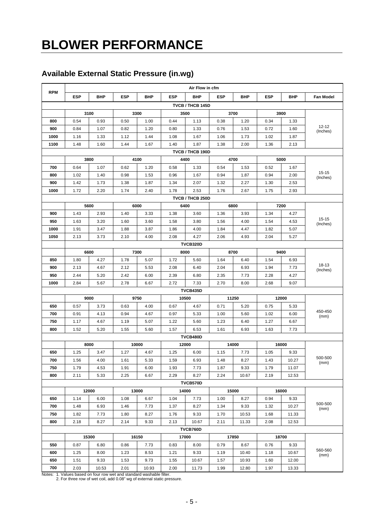# **BLOWER PERFORMANCE**

## **Available External Static Pressure (in.wg)**

|                  | Air Flow in cfm                                                                      |               |            |       |                  |                   |            |            |            |       |                       |  |
|------------------|--------------------------------------------------------------------------------------|---------------|------------|-------|------------------|-------------------|------------|------------|------------|-------|-----------------------|--|
| <b>RPM</b>       | <b>ESP</b>                                                                           | BHP           | <b>ESP</b> | BHP   | <b>ESP</b>       | <b>BHP</b>        | <b>ESP</b> | <b>BHP</b> | <b>ESP</b> | BHP   | <b>Fan Model</b>      |  |
|                  |                                                                                      |               |            |       | TVCB / THCB 145D |                   |            |            |            |       |                       |  |
|                  |                                                                                      | 3100          |            | 3300  | 3700<br>3500     |                   |            |            |            | 3900  |                       |  |
| 800              | 0.54                                                                                 | 0.93          | 0.50       | 1.00  | 0.44             | 1.13              | 0.38       | 1.20       | 0.34       | 1.33  |                       |  |
| 900              | 0.84                                                                                 | 1.07          | 0.82       | 1.20  | 0.80             | 1.33              | 0.76       | 1.53       | 0.72       | 1.60  | $12 - 12$<br>(Inches) |  |
| 1000             | 1.16                                                                                 | 1.33          | 1.12       | 1.44  | 1.08             | 1.67              | 1.06       | 1.73       | 1.02       | 1.87  |                       |  |
| 1100             | 1.48                                                                                 | 1.60          | 1.44       | 1.67  | 1.40             | 1.87              | 1.38       | 2.00       | 1.36       | 2.13  |                       |  |
|                  |                                                                                      |               |            |       |                  | TVCB / THCB 190D  |            |            |            |       |                       |  |
|                  |                                                                                      | 3800          |            | 4100  |                  | 4400              |            | 4700       |            | 5000  |                       |  |
| 700              | 0.64                                                                                 | 1.07          | 0.62       | 1.20  | 0.58             | 1.33              | 0.54       | 1.53       | 0.52       | 1.67  |                       |  |
| 800              | 1.02                                                                                 | 1.40          | 0.98       | 1.53  | 0.96             | 1.67              | 0.94       | 1.87       | 0.94       | 2.00  | $15 - 15$<br>(Inches) |  |
| 900              | 1.42                                                                                 | 1.73          | 1.38       | 1.87  | 1.34             | 2.07              | 1.32       | 2.27       | 1.30       | 2.53  |                       |  |
| 1000             | 1.72                                                                                 | 2.20          | 1.74       | 2.40  | 1.78             | 2.53              | 1.76       | 2.67       | 1.75       | 2.93  |                       |  |
| TVCB / THCB 250D |                                                                                      |               |            |       |                  |                   |            |            |            |       |                       |  |
|                  |                                                                                      | 5600          |            | 6000  |                  | 6400              |            | 6800       |            | 7200  |                       |  |
| 900              | 1.43                                                                                 | 2.93          | 1.40       | 3.33  | 1.38             | 3.60              | 1.36       | 3.93       | 1.34       | 4.27  | $15-15$               |  |
| 950              | 1.63                                                                                 | 3.20          | 1.60       | 3.60  | 1.58             | 3.80              | 1.56       | 4.00       | 1.54       | 4.53  | (Inches)              |  |
| 1000             | 1.91                                                                                 | 3.47          | 1.88       | 3.87  | 1.86             | 4.00              | 1.84       | 4.47       | 1.82       | 5.07  |                       |  |
| 1050             | 2.13                                                                                 | 3.73          | 2.10       | 4.00  | 2.08             | 4.27              | 2.06       | 4.93       | 2.04       | 5.27  |                       |  |
|                  | TVCB320D                                                                             |               |            |       |                  |                   |            |            |            |       |                       |  |
|                  |                                                                                      | 6600          |            | 7300  |                  | 8000              |            | 8700       |            | 9400  | 18-13<br>(Inches)     |  |
| 850              | 1.80                                                                                 | 4.27          | 1.78       | 5.07  | 1.72             | 5.60              | 1.64       | 6.40       | 1.54       | 6.93  |                       |  |
| 900              | 2.13                                                                                 | 4.67          | 2.12       | 5.53  | 2.08             | 6.40              | 2.04       | 6.93       | 1.94       | 7.73  |                       |  |
| 950              | 2.44                                                                                 | 5.20          | 2.42       | 6.00  | 2.39             | 6.80              | 2.35       | 7.73       | 2.28       | 4.27  |                       |  |
|                  | 1000<br>7.33<br>9.07<br>2.84<br>5.67<br>2.78<br>6.67<br>2.72<br>2.70<br>8.00<br>2.68 |               |            |       |                  |                   |            |            |            |       |                       |  |
|                  |                                                                                      | 9000          |            | 9750  |                  | TVCB435D<br>10500 |            | 11250      |            | 12000 |                       |  |
| 650              | 0.57                                                                                 | 3.73          | 0.63       | 4.00  | 0.67             | 4.67              | 0.71       | 5.20       | 0.75       | 5.33  |                       |  |
| 700              | 0.91                                                                                 | 4.13          | 0.94       | 4.67  | 0.97             | 5.33              | 1.00       | 5.60       | 1.02       | 6.00  | 450-450               |  |
| 750              | 1.17                                                                                 | 4.67          | 1.19       | 5.07  | 1.22             | 5.60              | 1.23       | 6.40       | 1.27       | 6.67  | (mm)                  |  |
| 800              | 1.52                                                                                 | 5.20          | 1.55       | 5.60  | 1.57             | 6.53              | 1.61       | 6.93       | 1.63       | 7.73  |                       |  |
|                  |                                                                                      |               |            |       |                  | TVCB480D          |            |            |            |       |                       |  |
|                  |                                                                                      | 10000<br>8000 |            |       |                  | 12000             |            | 14000      |            | 16000 |                       |  |
| 650              | 1.25                                                                                 | 3.47          | 1.27       | 4.67  | 1.25             | 6.00              | 1.15       | 7.73       | 1.05       | 9.33  |                       |  |
| 700              | 1.56                                                                                 | 4.00          | 1.61       | 5.33  | 1.59             | 6.93              | 1.48       | 8.27       | 1.43       | 10.27 | 500-500               |  |
| 750              | 1.79                                                                                 | 4.53          | 1.91       | 6.00  | 1.93             | 7.73              | 1.87       | 9.33       | 1.79       | 11.07 | (mm)                  |  |
| 800              | 2.11                                                                                 | 5.33          | 2.25       | 6.67  | 2.29             | 8.27              | 2.24       | 10.67      | 2.19       | 12.53 |                       |  |
|                  |                                                                                      |               |            |       |                  | TVCB570D          |            |            |            |       |                       |  |
|                  |                                                                                      | 12000         |            | 13000 |                  | 14000             |            | 15000      |            | 16000 |                       |  |
| 650              | 1.14                                                                                 | 6.00          | 1.08       | 6.67  | 1.04             | 7.73              | 1.00       | 8.27       | 0.94       | 9.33  |                       |  |
| 700              | 1.48                                                                                 | 6.93          | 1.46       | 7.73  | 1.37             | 8.27              | 1.34       | 9.33       | 1.32       | 10.27 | 500-500<br>(mm)       |  |
| 750              | 1.82                                                                                 | 7.73          | 1.80       | 8.27  | 1.76             | 9.33              | 1.70       | 10.53      | 1.68       | 11.33 |                       |  |
| 800              | 2.18                                                                                 | 8.27          | 2.14       | 9.33  | 2.13             | 10.67             | 2.11       | 11.33      | 2.08       | 12.53 |                       |  |
| <b>TVCB760D</b>  |                                                                                      |               |            |       |                  |                   |            |            |            |       |                       |  |
|                  |                                                                                      | 15300         |            | 16150 |                  | 17000             |            | 17850      |            | 18700 |                       |  |
| 550              | 0.87                                                                                 | 6.80          | 0.86       | 7.73  | 0.83             | 8.00              | 0.79       | 8.67       | 0.76       | 9.33  |                       |  |
| 600              | 1.25                                                                                 | 8.00          | 1.23       | 8.53  | 1.21             | 9.33              | 1.19       | 10.40      | 1.18       | 10.67 | 560-560<br>(mm)       |  |
| 650              | 1.51                                                                                 | 9.33          | 1.53       | 9.73  | 1.55             | 10.67             | 1.57       | 10.93      | 1.60       | 12.00 |                       |  |
| 700              | 2.03                                                                                 | 10.53         | 2.01       | 10.93 | 2.00             | 11.73             | 1.99       | 12.80      | 1.97       | 13.33 |                       |  |

Notes: 1. Values based on four row wet and standard washable filter. 2. For three row of wet coil, add 0.08" wg of external static pressure.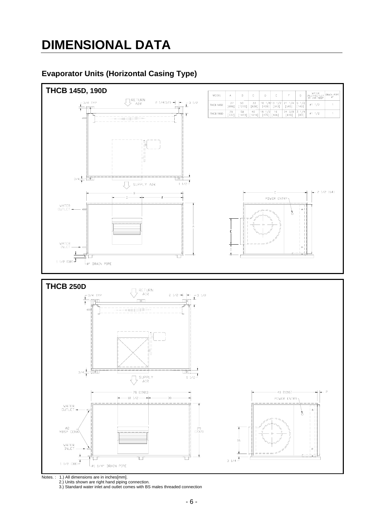## **DIMENSIONAL DATA**

### **Evaporator Units (Horizontal Casing Type)**



Notes. : 1.) All dimensions are in inches[mm]. 2.) Units shown are right hand piping connection. 3.) Standard water inlet and outlet comes with BS males threaded connection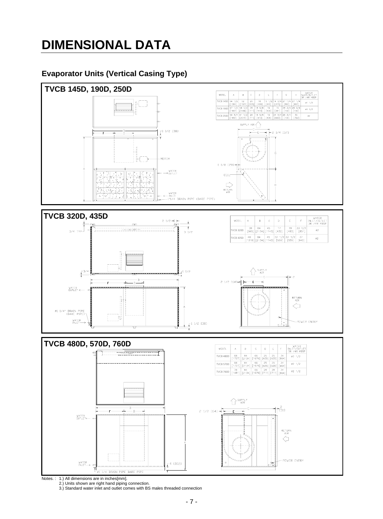## **DIMENSIONAL DATA**

### **Evaporator Units (Vertical Casing Type)**



Notes. : 1.) All dimensions are in inches[mm]. 2.) Units shown are right hand piping connection. 3.) Standard water inlet and outlet comes with BS males threaded connection